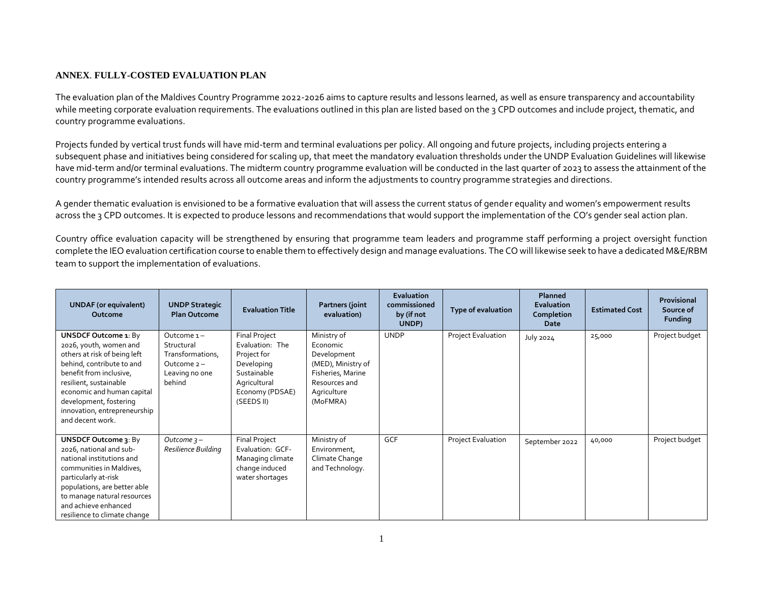## **ANNEX**. **FULLY-COSTED EVALUATION PLAN**

The evaluation plan of the Maldives Country Programme 2022-2026 aims to capture results and lessons learned, as well as ensure transparency and accountability while meeting corporate evaluation requirements. The evaluations outlined in this plan are listed based on the 3 CPD outcomes and include project, thematic, and country programme evaluations.

Projects funded by vertical trust funds will have mid-term and terminal evaluations per policy. All ongoing and future projects, including projects entering a subsequent phase and initiatives being considered for scaling up, that meet the mandatory evaluation thresholds under the UNDP Evaluation Guidelines will likewise have mid-term and/or terminal evaluations. The midterm country programme evaluation will be conducted in the last quarter of 2023 to assess the attainment of the country programme's intended results across all outcome areas and inform the adjustments to country programme strategies and directions.

A gender thematic evaluation is envisioned to be a formative evaluation that will assess the current status of gender equality and women's empowerment results across the 3 CPD outcomes. It is expected to produce lessons and recommendations that would support the implementation of the CO's gender seal action plan.

Country office evaluation capacity will be strengthened by ensuring that programme team leaders and programme staff performing a project oversight function complete the IEO evaluation certification course to enable them to effectively design and manage evaluations. The CO will likewise seek to have a dedicated M&E/RBM team to support the implementation of evaluations.

| <b>UNDAF</b> (or equivalent)<br>Outcome                                                                                                                                                                                                                                             | <b>UNDP Strategic</b><br><b>Plan Outcome</b>                                              | <b>Evaluation Title</b>                                                                                                              | Partners (joint<br>evaluation)                                                                                                | <b>Evaluation</b><br>commissioned<br>by (if not<br>UNDP) | Type of evaluation | Planned<br>Evaluation<br>Completion<br>Date | <b>Estimated Cost</b> | Provisional<br>Source of<br>Funding |
|-------------------------------------------------------------------------------------------------------------------------------------------------------------------------------------------------------------------------------------------------------------------------------------|-------------------------------------------------------------------------------------------|--------------------------------------------------------------------------------------------------------------------------------------|-------------------------------------------------------------------------------------------------------------------------------|----------------------------------------------------------|--------------------|---------------------------------------------|-----------------------|-------------------------------------|
| <b>UNSDCF Outcome 1: By</b><br>2026, youth, women and<br>others at risk of being left<br>behind, contribute to and<br>benefit from inclusive,<br>resilient, sustainable<br>economic and human capital<br>development, fostering<br>innovation, entrepreneurship<br>and decent work. | Outcome 1-<br>Structural<br>Transformations,<br>Outcome $2 -$<br>Leaving no one<br>behind | <b>Final Project</b><br>Evaluation: The<br>Project for<br>Developing<br>Sustainable<br>Agricultural<br>Economy (PDSAE)<br>(SEEDS II) | Ministry of<br>Economic<br>Development<br>(MED), Ministry of<br>Fisheries, Marine<br>Resources and<br>Agriculture<br>(MoFMRA) | <b>UNDP</b>                                              | Project Evaluation | <b>July 2024</b>                            | 25,000                | Project budget                      |
| UNSDCF Outcome 3: By<br>2026, national and sub-<br>national institutions and<br>communities in Maldives,<br>particularly at-risk<br>populations, are better able<br>to manage natural resources<br>and achieve enhanced<br>resilience to climate change                             | Outcome $3 -$<br>Resilience Building                                                      | <b>Final Project</b><br>Evaluation: GCF-<br>Managing climate<br>change induced<br>water shortages                                    | Ministry of<br>Environment,<br>Climate Change<br>and Technology.                                                              | <b>GCF</b>                                               | Project Evaluation | September 2022                              | 40,000                | Project budget                      |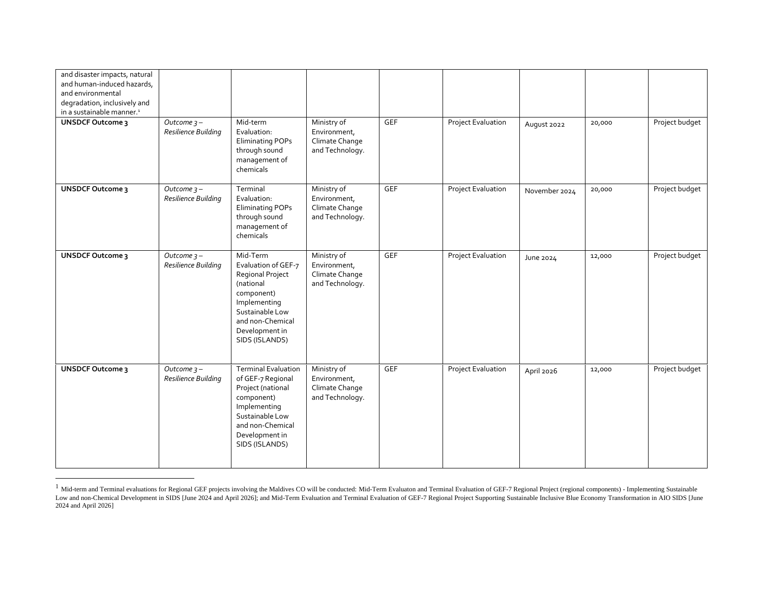| and disaster impacts, natural<br>and human-induced hazards,<br>and environmental<br>degradation, inclusively and<br>in a sustainable manner. <sup>1</sup> |                                                  |                                                                                                                                                                               |                                                                  |            |                           |               |        |                |
|-----------------------------------------------------------------------------------------------------------------------------------------------------------|--------------------------------------------------|-------------------------------------------------------------------------------------------------------------------------------------------------------------------------------|------------------------------------------------------------------|------------|---------------------------|---------------|--------|----------------|
| <b>UNSDCF Outcome 3</b>                                                                                                                                   | $\overline{O}$ utcome 3 –<br>Resilience Building | Mid-term<br>Evaluation:<br><b>Eliminating POPs</b><br>through sound<br>management of<br>chemicals                                                                             | Ministry of<br>Environment,<br>Climate Change<br>and Technology. | <b>GEF</b> | Project Evaluation        | August 2022   | 20,000 | Project budget |
| <b>UNSDCF Outcome 3</b>                                                                                                                                   | Outcome $3 -$<br>Resilience Building             | Terminal<br>Evaluation:<br><b>Eliminating POPs</b><br>through sound<br>management of<br>chemicals                                                                             | Ministry of<br>Environment,<br>Climate Change<br>and Technology. | <b>GEF</b> | Project Evaluation        | November 2024 | 20,000 | Project budget |
| <b>UNSDCF Outcome 3</b>                                                                                                                                   | Outcome $3 -$<br>Resilience Building             | Mid-Term<br>Evaluation of GEF-7<br>Regional Project<br>(national<br>component)<br>Implementing<br>Sustainable Low<br>and non-Chemical<br>Development in<br>SIDS (ISLANDS)     | Ministry of<br>Environment,<br>Climate Change<br>and Technology. | <b>GEF</b> | <b>Project Evaluation</b> | June 2024     | 12,000 | Project budget |
| <b>UNSDCF Outcome 3</b>                                                                                                                                   | Outcome $3 -$<br>Resilience Building             | <b>Terminal Evaluation</b><br>of GEF-7 Regional<br>Project (national<br>component)<br>Implementing<br>Sustainable Low<br>and non-Chemical<br>Development in<br>SIDS (ISLANDS) | Ministry of<br>Environment,<br>Climate Change<br>and Technology. | <b>GEF</b> | <b>Project Evaluation</b> | April 2026    | 12,000 | Project budget |

 $<sup>1</sup>$  Mid-term and Terminal evaluations for Regional GEF projects involving the Maldives CO will be conducted: Mid-Term Evaluation and Terminal Evaluation of GEF-7 Regional Project (regional components) - Implementing</sup> Low and non-Chemical Development in SIDS [June 2024 and April 2026]; and Mid-Term Evaluation and Terminal Evaluation of GEF-7 Regional Project Supporting Sustainable Inclusive Blue Economy Transformation in AIO SIDS [June 2024 and April 2026]